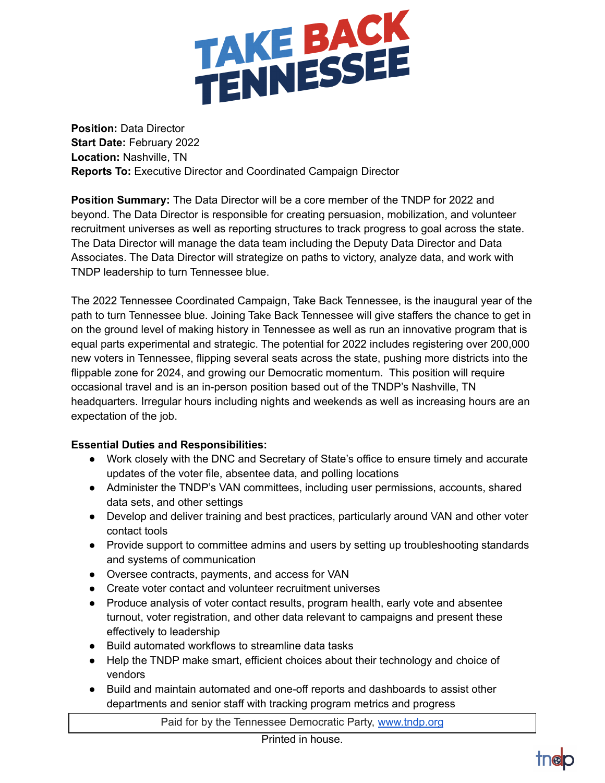

**Position:** Data Director **Start Date:** February 2022 **Location:** Nashville, TN **Reports To:** Executive Director and Coordinated Campaign Director

**Position Summary:** The Data Director will be a core member of the TNDP for 2022 and beyond. The Data Director is responsible for creating persuasion, mobilization, and volunteer recruitment universes as well as reporting structures to track progress to goal across the state. The Data Director will manage the data team including the Deputy Data Director and Data Associates. The Data Director will strategize on paths to victory, analyze data, and work with TNDP leadership to turn Tennessee blue.

The 2022 Tennessee Coordinated Campaign, Take Back Tennessee, is the inaugural year of the path to turn Tennessee blue. Joining Take Back Tennessee will give staffers the chance to get in on the ground level of making history in Tennessee as well as run an innovative program that is equal parts experimental and strategic. The potential for 2022 includes registering over 200,000 new voters in Tennessee, flipping several seats across the state, pushing more districts into the flippable zone for 2024, and growing our Democratic momentum. This position will require occasional travel and is an in-person position based out of the TNDP's Nashville, TN headquarters. Irregular hours including nights and weekends as well as increasing hours are an expectation of the job.

## **Essential Duties and Responsibilities:**

- Work closely with the DNC and Secretary of State's office to ensure timely and accurate updates of the voter file, absentee data, and polling locations
- Administer the TNDP's VAN committees, including user permissions, accounts, shared data sets, and other settings
- Develop and deliver training and best practices, particularly around VAN and other voter contact tools
- Provide support to committee admins and users by setting up troubleshooting standards and systems of communication
- Oversee contracts, payments, and access for VAN
- Create voter contact and volunteer recruitment universes
- Produce analysis of voter contact results, program health, early vote and absentee turnout, voter registration, and other data relevant to campaigns and present these effectively to leadership
- Build automated workflows to streamline data tasks
- Help the TNDP make smart, efficient choices about their technology and choice of vendors
- Build and maintain automated and one-off reports and dashboards to assist other departments and senior staff with tracking program metrics and progress

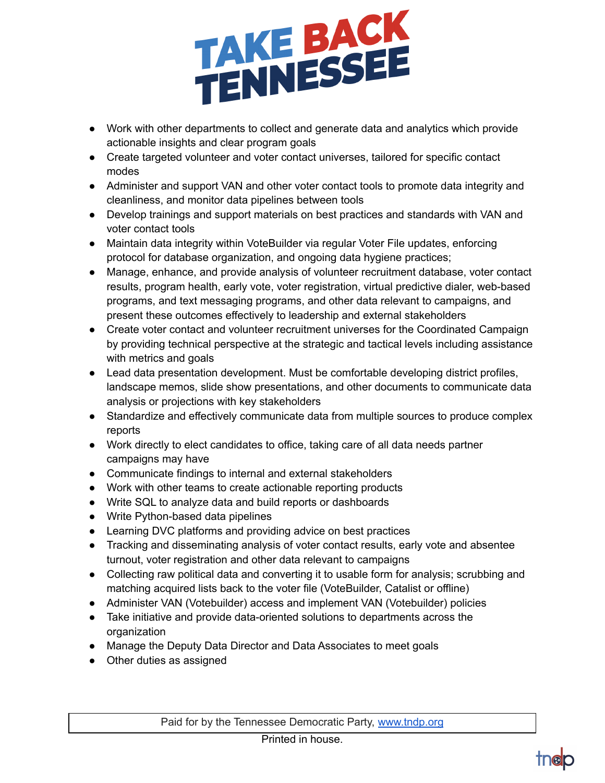

- Work with other departments to collect and generate data and analytics which provide actionable insights and clear program goals
- Create targeted volunteer and voter contact universes, tailored for specific contact modes
- Administer and support VAN and other voter contact tools to promote data integrity and cleanliness, and monitor data pipelines between tools
- Develop trainings and support materials on best practices and standards with VAN and voter contact tools
- Maintain data integrity within VoteBuilder via regular Voter File updates, enforcing protocol for database organization, and ongoing data hygiene practices;
- Manage, enhance, and provide analysis of volunteer recruitment database, voter contact results, program health, early vote, voter registration, virtual predictive dialer, web-based programs, and text messaging programs, and other data relevant to campaigns, and present these outcomes effectively to leadership and external stakeholders
- Create voter contact and volunteer recruitment universes for the Coordinated Campaign by providing technical perspective at the strategic and tactical levels including assistance with metrics and goals
- Lead data presentation development. Must be comfortable developing district profiles, landscape memos, slide show presentations, and other documents to communicate data analysis or projections with key stakeholders
- Standardize and effectively communicate data from multiple sources to produce complex reports
- Work directly to elect candidates to office, taking care of all data needs partner campaigns may have
- Communicate findings to internal and external stakeholders
- Work with other teams to create actionable reporting products
- Write SQL to analyze data and build reports or dashboards
- Write Python-based data pipelines
- Learning DVC platforms and providing advice on best practices
- Tracking and disseminating analysis of voter contact results, early vote and absentee turnout, voter registration and other data relevant to campaigns
- Collecting raw political data and converting it to usable form for analysis; scrubbing and matching acquired lists back to the voter file (VoteBuilder, Catalist or offline)
- Administer VAN (Votebuilder) access and implement VAN (Votebuilder) policies
- Take initiative and provide data-oriented solutions to departments across the organization
- Manage the Deputy Data Director and Data Associates to meet goals
- Other duties as assigned

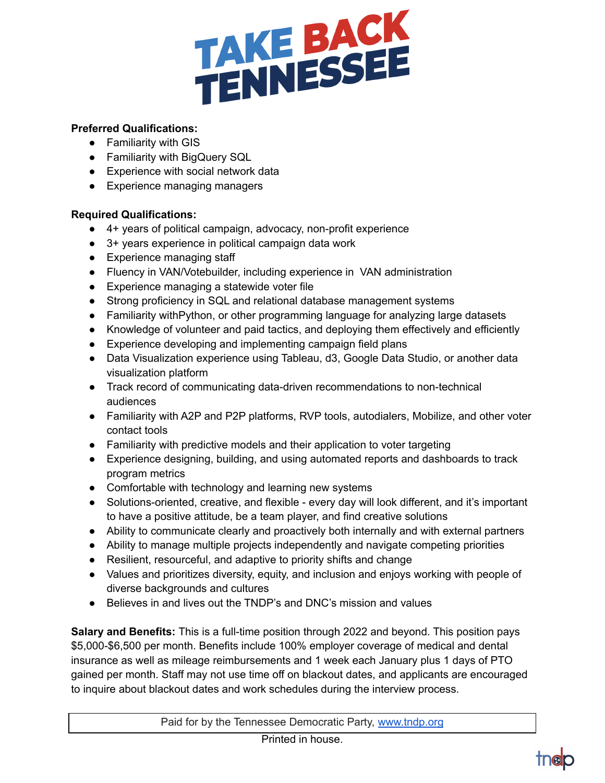

## **Preferred Qualifications:**

- Familiarity with GIS
- Familiarity with BigQuery SQL
- Experience with social network data
- Experience managing managers

## **Required Qualifications:**

- 4+ years of political campaign, advocacy, non-profit experience
- 3+ years experience in political campaign data work
- Experience managing staff
- Fluency in VAN/Votebuilder, including experience in VAN administration
- Experience managing a statewide voter file
- Strong proficiency in SQL and relational database management systems
- Familiarity withPython, or other programming language for analyzing large datasets
- Knowledge of volunteer and paid tactics, and deploying them effectively and efficiently
- Experience developing and implementing campaign field plans
- Data Visualization experience using Tableau, d3, Google Data Studio, or another data visualization platform
- Track record of communicating data-driven recommendations to non-technical audiences
- Familiarity with A2P and P2P platforms, RVP tools, autodialers, Mobilize, and other voter contact tools
- Familiarity with predictive models and their application to voter targeting
- Experience designing, building, and using automated reports and dashboards to track program metrics
- Comfortable with technology and learning new systems
- Solutions-oriented, creative, and flexible every day will look different, and it's important to have a positive attitude, be a team player, and find creative solutions
- Ability to communicate clearly and proactively both internally and with external partners
- Ability to manage multiple projects independently and navigate competing priorities
- Resilient, resourceful, and adaptive to priority shifts and change
- Values and prioritizes diversity, equity, and inclusion and enjoys working with people of diverse backgrounds and cultures
- Believes in and lives out the TNDP's and DNC's mission and values

**Salary and Benefits:** This is a full-time position through 2022 and beyond. This position pays \$5,000-\$6,500 per month. Benefits include 100% employer coverage of medical and dental insurance as well as mileage reimbursements and 1 week each January plus 1 days of PTO gained per month. Staff may not use time off on blackout dates, and applicants are encouraged to inquire about blackout dates and work schedules during the interview process.